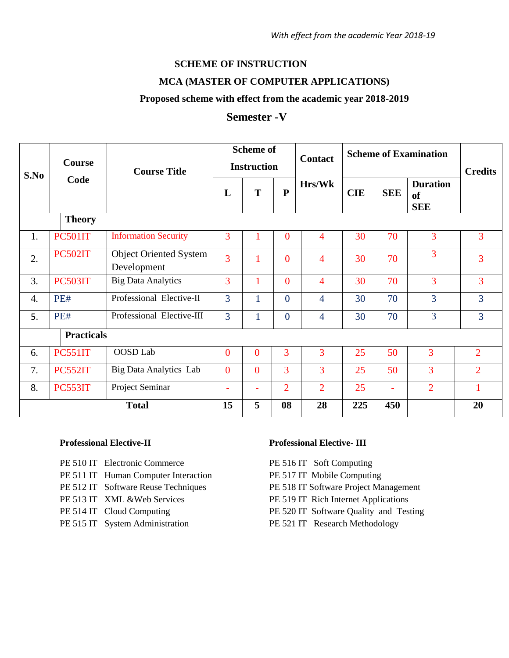## **SCHEME OF INSTRUCTION**

#### **MCA (MASTER OF COMPUTER APPLICATIONS)**

#### **Proposed scheme with effect from the academic year 2018-2019**

# **Semester -V**

| S.No              | <b>Course</b><br>Code | <b>Course Title</b>                          | <b>Scheme of</b><br><b>Instruction</b> |                |                | <b>Contact</b> | <b>Scheme of Examination</b> |            |                                                | <b>Credits</b> |
|-------------------|-----------------------|----------------------------------------------|----------------------------------------|----------------|----------------|----------------|------------------------------|------------|------------------------------------------------|----------------|
|                   |                       |                                              | L                                      | T              | $\mathbf{P}$   | Hrs/Wk         | <b>CIE</b>                   | <b>SEE</b> | <b>Duration</b><br><sub>of</sub><br><b>SEE</b> |                |
| <b>Theory</b>     |                       |                                              |                                        |                |                |                |                              |            |                                                |                |
| 1.                | <b>PC501IT</b>        | <b>Information Security</b>                  | $\overline{3}$                         |                | $\overline{0}$ | 4              | 30                           | 70         | 3                                              | 3              |
| 2.                | <b>PC502IT</b>        | <b>Object Oriented System</b><br>Development | $\overline{3}$                         |                | $\overline{0}$ | 4              | 30                           | 70         | 3                                              | 3              |
| 3.                | PC503IT               | <b>Big Data Analytics</b>                    | 3                                      |                | $\overline{0}$ | $\overline{4}$ | 30                           | 70         | 3                                              | $\overline{3}$ |
| 4.                | PE#                   | Professional Elective-II                     | 3                                      |                | $\theta$       | 4              | 30                           | 70         | 3                                              | $\overline{3}$ |
| 5.                | PE#                   | Professional Elective-III                    | 3                                      |                | $\overline{0}$ | $\overline{4}$ | 30                           | 70         | 3                                              | 3              |
| <b>Practicals</b> |                       |                                              |                                        |                |                |                |                              |            |                                                |                |
| 6.                | <b>PC551IT</b>        | OOSD Lab                                     | $\overline{0}$                         | $\Omega$       | 3              | 3              | 25                           | 50         | 3                                              | $\overline{2}$ |
| 7.                | PC552IT               | <b>Big Data Analytics Lab</b>                | $\overline{0}$                         | $\overline{0}$ | 3              | 3              | 25                           | 50         | 3                                              | $\overline{2}$ |
| 8.                | PC553IT               | Project Seminar                              | $\overline{\phantom{a}}$               | $\equiv$       | $\overline{2}$ | $\overline{2}$ | 25                           |            | $\overline{2}$                                 |                |
| <b>Total</b>      |                       |                                              | 15                                     | 5              | 08             | 28             | 225                          | 450        |                                                | 20             |

#### **Professional Elective-II Professional Elective- III**

- PE 510 IT Electronic Commerce
- PE 511 IT Human Computer Interaction
- PE 512 IT Software Reuse Techniques
- PE 513 IT XML &Web Services
- PE 514 IT Cloud Computing
- PE 515 IT System Administration

- PE 516 IT Soft Computing
- PE 517 IT Mobile Computing
- PE 518 IT Software Project Management
- PE 519 IT Rich Internet Applications
- PE 520 IT Software Quality and Testing
- PE 521 IT Research Methodology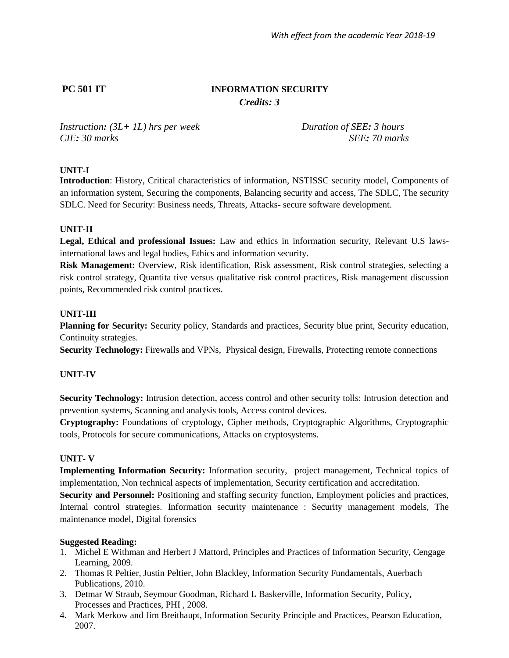# **PC 501 IT INFORMATION SECURITY** *Credits: 3*

*Instruction: (3L+ 1L) hrs per week Duration of SEE: 3 hours CIE: 30 marks SEE: 70 marks*

## **UNIT-I**

**Introduction**: History, Critical characteristics of information, NSTISSC security model, Components of an information system, Securing the components, Balancing security and access, The SDLC, The security SDLC. Need for Security: Business needs, Threats, Attacks- secure software development.

#### **UNIT-II**

**Legal, Ethical and professional Issues:** Law and ethics in information security, Relevant U.S lawsinternational laws and legal bodies, Ethics and information security.

**Risk Management:** Overview, Risk identification, Risk assessment, Risk control strategies, selecting a risk control strategy, Quantita tive versus qualitative risk control practices, Risk management discussion points, Recommended risk control practices.

## **UNIT-III**

**Planning for Security:** Security policy, Standards and practices, Security blue print, Security education, Continuity strategies.

**Security Technology:** Firewalls and VPNs, Physical design, Firewalls, Protecting remote connections

## **UNIT-IV**

**Security Technology:** Intrusion detection, access control and other security tolls: Intrusion detection and prevention systems, Scanning and analysis tools, Access control devices.

**Cryptography:** Foundations of cryptology, Cipher methods, Cryptographic Algorithms, Cryptographic tools, Protocols for secure communications, Attacks on cryptosystems.

#### **UNIT- V**

**Implementing Information Security:** Information security, project management, Technical topics of implementation, Non technical aspects of implementation, Security certification and accreditation.

**Security and Personnel:** Positioning and staffing security function, Employment policies and practices, Internal control strategies. Information security maintenance : Security management models, The maintenance model, Digital forensics

- 1. Michel E Withman and Herbert J Mattord, Principles and Practices of Information Security, Cengage Learning, 2009.
- 2. Thomas R Peltier, Justin Peltier, John Blackley, Information Security Fundamentals, Auerbach Publications, 2010.
- 3. Detmar W Straub, Seymour Goodman, Richard L Baskerville, Information Security, Policy, Processes and Practices, PHI , 2008.
- 4. Mark Merkow and Jim Breithaupt, Information Security Principle and Practices, Pearson Education, 2007.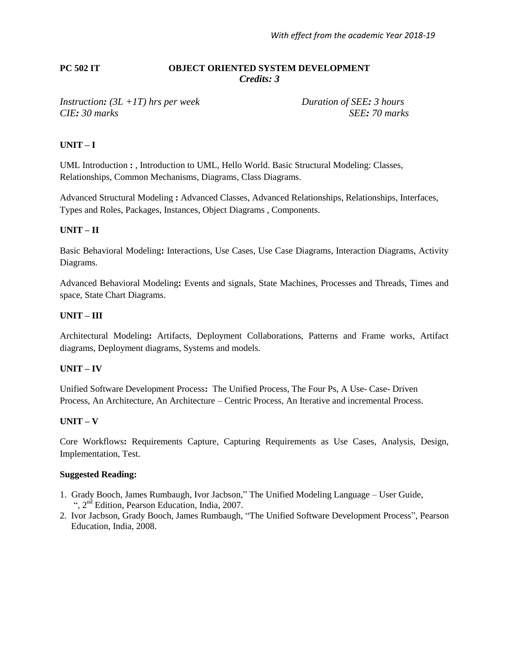#### **PC 502 IT OBJECT ORIENTED SYSTEM DEVELOPMENT** *Credits: 3*

#### *Instruction: (3L +1T) hrs per week Duration of SEE: 3 hours CIE: 30 marks SEE: 70 marks*

### **UNIT – I**

UML Introduction **:** , Introduction to UML, Hello World. Basic Structural Modeling: Classes, Relationships, Common Mechanisms, Diagrams, Class Diagrams.

Advanced Structural Modeling **:** Advanced Classes, Advanced Relationships, Relationships, Interfaces, Types and Roles, Packages, Instances, Object Diagrams , Components.

## **UNIT – II**

Basic Behavioral Modeling**:** Interactions, Use Cases, Use Case Diagrams, Interaction Diagrams, Activity Diagrams.

Advanced Behavioral Modeling**:** Events and signals, State Machines, Processes and Threads, Times and space, State Chart Diagrams.

### **UNIT – III**

Architectural Modeling**:** Artifacts, Deployment Collaborations, Patterns and Frame works, Artifact diagrams, Deployment diagrams, Systems and models.

#### **UNIT – IV**

Unified Software Development Process**:** The Unified Process, The Four Ps, A Use- Case- Driven Process, An Architecture, An Architecture – Centric Process, An Iterative and incremental Process.

#### **UNIT – V**

Core Workflows**:** Requirements Capture, Capturing Requirements as Use Cases, Analysis, Design, Implementation, Test.

- 1. Grady Booch, James Rumbaugh, Ivor Jacbson," The Unified Modeling Language User Guide, ",  $2<sup>nd</sup>$  Edition, Pearson Education, India, 2007.
- 2. Ivor Jacbson, Grady Booch, James Rumbaugh, "The Unified Software Development Process", Pearson Education, India, 2008.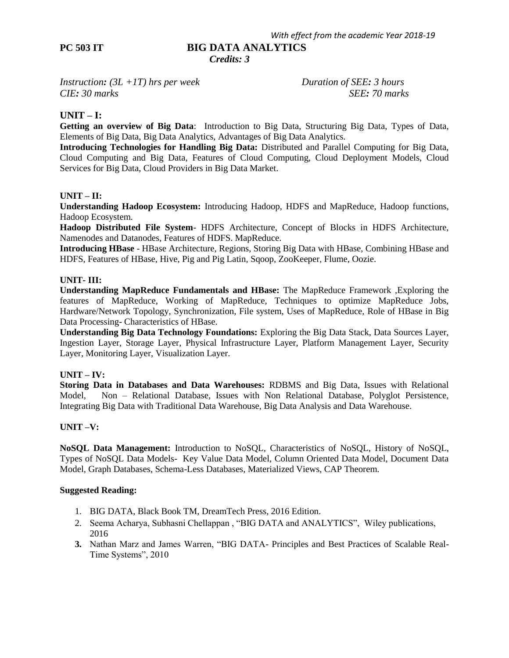## **PC 503 IT BIG DATA ANALYTICS**

 *Credits: 3*

*Instruction: (3L +1T) hrs per week Duration of SEE: 3 hours CIE: 30 marks SEE: 70 marks*

### **UNIT – I:**

**Getting an overview of Big Data**: Introduction to Big Data, Structuring Big Data, Types of Data, Elements of Big Data, Big Data Analytics, Advantages of Big Data Analytics.

**Introducing Technologies for Handling Big Data:** Distributed and Parallel Computing for Big Data, Cloud Computing and Big Data, Features of Cloud Computing, Cloud Deployment Models, Cloud Services for Big Data, Cloud Providers in Big Data Market.

#### **UNIT – II:**

**Understanding Hadoop Ecosystem:** Introducing Hadoop, HDFS and MapReduce, Hadoop functions, Hadoop Ecosystem.

**Hadoop Distributed File System**- HDFS Architecture, Concept of Blocks in HDFS Architecture, Namenodes and Datanodes, Features of HDFS. MapReduce.

**Introducing HBase** - HBase Architecture, Regions, Storing Big Data with HBase, Combining HBase and HDFS, Features of HBase, Hive, Pig and Pig Latin, Sqoop, ZooKeeper, Flume, Oozie.

#### **UNIT- III:**

**Understanding MapReduce Fundamentals and HBase:** The MapReduce Framework ,Exploring the features of MapReduce, Working of MapReduce, Techniques to optimize MapReduce Jobs, Hardware/Network Topology, Synchronization, File system, Uses of MapReduce, Role of HBase in Big Data Processing- Characteristics of HBase.

**Understanding Big Data Technology Foundations:** Exploring the Big Data Stack, Data Sources Layer, Ingestion Layer, Storage Layer, Physical Infrastructure Layer, Platform Management Layer, Security Layer, Monitoring Layer, Visualization Layer.

#### **UNIT – IV:**

**Storing Data in Databases and Data Warehouses:** RDBMS and Big Data, Issues with Relational Model, Non – Relational Database, Issues with Non Relational Database, Polyglot Persistence, Integrating Big Data with Traditional Data Warehouse, Big Data Analysis and Data Warehouse.

#### **UNIT –V:**

**NoSQL Data Management:** Introduction to NoSQL, Characteristics of NoSQL, History of NoSQL, Types of NoSQL Data Models- Key Value Data Model, Column Oriented Data Model, Document Data Model, Graph Databases, Schema-Less Databases, Materialized Views, CAP Theorem.

- 1. BIG DATA, Black Book TM, DreamTech Press, 2016 Edition.
- 2. Seema Acharya, Subhasni Chellappan , "BIG DATA and ANALYTICS", Wiley publications, 2016
- **3.** Nathan Marz and James Warren, "BIG DATA- Principles and Best Practices of Scalable Real-Time Systems", 2010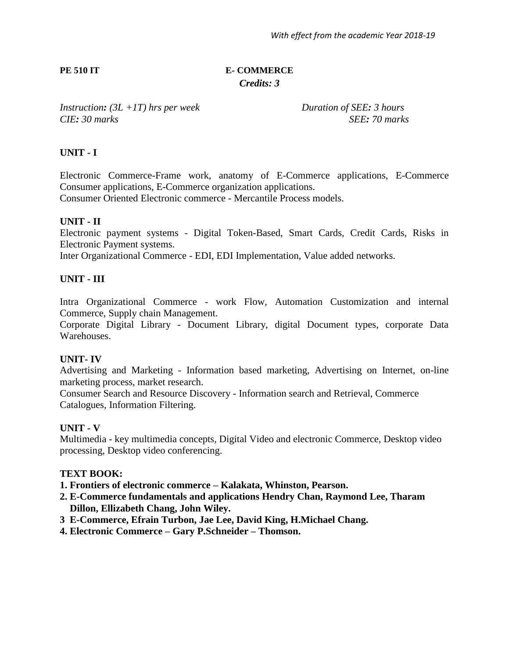# **PE 510 IT E- COMMERCE** *Credits: 3*

*Instruction: (3L +1T) hrs per week Duration of SEE: 3 hours CIE: 30 marks SEE: 70 marks*

# **UNIT - I**

Electronic Commerce-Frame work, anatomy of E-Commerce applications, E-Commerce Consumer applications, E-Commerce organization applications.

Consumer Oriented Electronic commerce - Mercantile Process models.

# **UNIT - II**

Electronic payment systems - Digital Token-Based, Smart Cards, Credit Cards, Risks in Electronic Payment systems.

Inter Organizational Commerce - EDI, EDI Implementation, Value added networks.

# **UNIT - III**

Intra Organizational Commerce - work Flow, Automation Customization and internal Commerce, Supply chain Management.

Corporate Digital Library - Document Library, digital Document types, corporate Data Warehouses.

## **UNIT- IV**

Advertising and Marketing - Information based marketing, Advertising on Internet, on-line marketing process, market research.

Consumer Search and Resource Discovery - Information search and Retrieval, Commerce Catalogues, Information Filtering.

## **UNIT - V**

Multimedia - key multimedia concepts, Digital Video and electronic Commerce, Desktop video processing, Desktop video conferencing.

## **TEXT BOOK:**

**1. Frontiers of electronic commerce – Kalakata, Whinston, Pearson.**

- **2. E-Commerce fundamentals and applications Hendry Chan, Raymond Lee, Tharam Dillon, Ellizabeth Chang, John Wiley.**
- **3 E-Commerce, Efrain Turbon, Jae Lee, David King, H.Michael Chang.**
- **4. Electronic Commerce – Gary P.Schneider – Thomson.**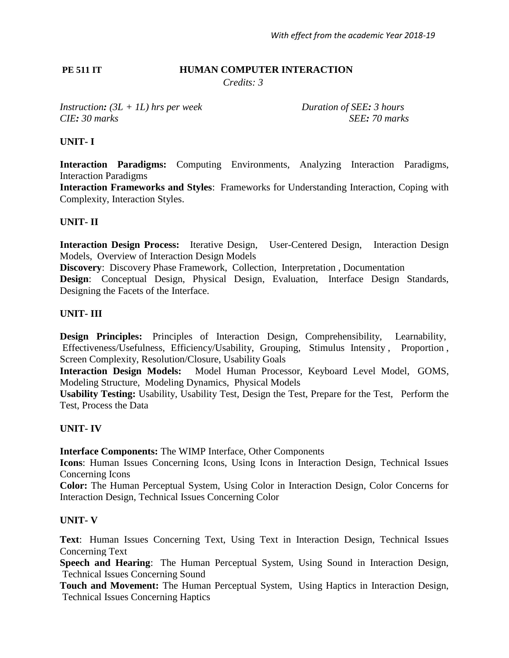# **PE 511 IT HUMAN COMPUTER INTERACTION**

*Credits: 3*

*Instruction: (3L + 1L) hrs per week Duration of SEE: 3 hours CIE: 30 marks SEE: 70 marks* 

# **UNIT- I**

**Interaction Paradigms:** Computing Environments, Analyzing Interaction Paradigms, Interaction Paradigms

**Interaction Frameworks and Styles**: Frameworks for Understanding Interaction, Coping with Complexity, Interaction Styles.

## **UNIT- II**

**Interaction Design Process:** Iterative Design, User-Centered Design, Interaction Design Models, Overview of Interaction Design Models

**Discovery**: Discovery Phase Framework, Collection, Interpretation , Documentation **Design**: Conceptual Design, Physical Design, Evaluation, Interface Design Standards, Designing the Facets of the Interface.

## **UNIT- III**

**Design Principles:** Principles of Interaction Design, Comprehensibility, Learnability, Effectiveness/Usefulness, Efficiency/Usability, Grouping, Stimulus Intensity , Proportion , Screen Complexity, Resolution/Closure, Usability Goals

**Interaction Design Models:** Model Human Processor, Keyboard Level Model, GOMS, Modeling Structure, Modeling Dynamics, Physical Models

**Usability Testing:** Usability, Usability Test, Design the Test, Prepare for the Test, Perform the Test, Process the Data

## **UNIT- IV**

**Interface Components:** The WIMP Interface, Other Components

**Icons**: Human Issues Concerning Icons, Using Icons in Interaction Design, Technical Issues Concerning Icons

**Color:** The Human Perceptual System, Using Color in Interaction Design, Color Concerns for Interaction Design, Technical Issues Concerning Color

## **UNIT- V**

**Text**: Human Issues Concerning Text, Using Text in Interaction Design, Technical Issues Concerning Text

**Speech and Hearing**: The Human Perceptual System, Using Sound in Interaction Design, Technical Issues Concerning Sound

**Touch and Movement:** The Human Perceptual System, Using Haptics in Interaction Design, Technical Issues Concerning Haptics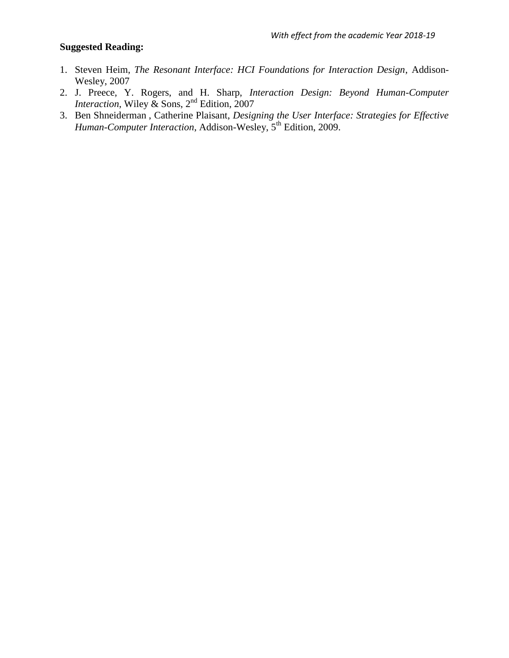- 1. Steven Heim, *The Resonant Interface: HCI Foundations for Interaction Design*, Addison-Wesley, 2007
- 2. J. Preece, Y. Rogers, and H. Sharp, *Interaction Design: Beyond Human-Computer Interaction*, Wiley & Sons, 2nd Edition, 2007
- 3. [Ben Shneiderman](http://www.pearson.ch/autor/24454/Ben-Shneiderman.aspx) , [Catherine Plaisant,](http://www.pearson.ch/autor/38094/Catherine-Plaisant.aspx) *Designing the User Interface: Strategies for Effective Human-Computer Interaction*, Addison-Wesley, 5th Edition, 2009.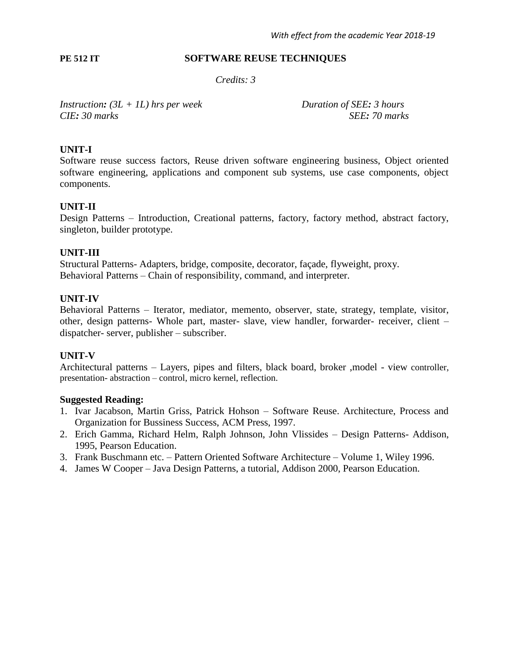#### **PE 512 IT** SOFTWARE REUSE TECHNIQUES

*Credits: 3*

*Instruction: (3L + 1L) hrs per week Duration of SEE: 3 hours CIE: 30 marks SEE: 70 marks*

# **UNIT-I**

Software reuse success factors, Reuse driven software engineering business, Object oriented software engineering, applications and component sub systems, use case components, object components.

## **UNIT-II**

Design Patterns – Introduction, Creational patterns, factory, factory method, abstract factory, singleton, builder prototype.

## **UNIT-III**

Structural Patterns- Adapters, bridge, composite, decorator, façade, flyweight, proxy. Behavioral Patterns – Chain of responsibility, command, and interpreter.

## **UNIT-IV**

Behavioral Patterns – Iterator, mediator, memento, observer, state, strategy, template, visitor, other, design patterns- Whole part, master- slave, view handler, forwarder- receiver, client – dispatcher- server, publisher – subscriber.

# **UNIT-V**

Architectural patterns – Layers, pipes and filters, black board, broker ,model - view controller, presentation- abstraction – control, micro kernel, reflection.

- 1. Ivar Jacabson, Martin Griss, Patrick Hohson Software Reuse. Architecture, Process and Organization for Bussiness Success, ACM Press, 1997.
- 2. Erich Gamma, Richard Helm, Ralph Johnson, John Vlissides Design Patterns- Addison, 1995, Pearson Education.
- 3. Frank Buschmann etc. Pattern Oriented Software Architecture Volume 1, Wiley 1996.
- 4. James W Cooper Java Design Patterns, a tutorial, Addison 2000, Pearson Education.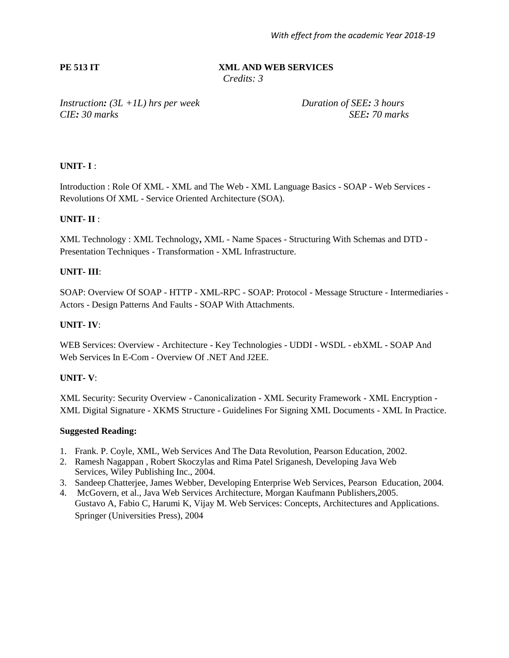#### **PE 513 IT XML AND WEB SERVICES**

*Credits: 3*

*Instruction: (3L +1L) hrs per week Duration of SEE: 3 hours CIE: 30 marks SEE: 70 marks*

## **UNIT- I** :

Introduction : Role Of XML - XML and The Web - XML Language Basics - SOAP - Web Services - Revolutions Of XML - Service Oriented Architecture (SOA).

#### **UNIT- II** :

XML Technology : XML Technology**,** XML - Name Spaces - Structuring With Schemas and DTD - Presentation Techniques - Transformation - XML Infrastructure.

#### **UNIT- III**:

SOAP: Overview Of SOAP - HTTP - XML-RPC - SOAP: Protocol - Message Structure - Intermediaries - Actors - Design Patterns And Faults - SOAP With Attachments.

#### **UNIT- IV**:

WEB Services: Overview - Architecture - Key Technologies - UDDI - WSDL - ebXML - SOAP And Web Services In E-Com - Overview Of .NET And J2EE.

#### **UNIT- V**:

XML Security: Security Overview - Canonicalization - XML Security Framework - XML Encryption - XML Digital Signature - XKMS Structure - Guidelines For Signing XML Documents - XML In Practice.

- 1. Frank. P. Coyle, XML, Web Services And The Data Revolution, Pearson Education, 2002.
- 2. Ramesh Nagappan , Robert Skoczylas and Rima Patel Sriganesh, Developing Java Web Services, Wiley Publishing Inc., 2004.
- 3. Sandeep Chatterjee, James Webber, Developing Enterprise Web Services, Pearson Education, 2004.
- 4. McGovern, et al., Java Web Services Architecture, Morgan Kaufmann Publishers,2005. Gustavo A, Fabio C, Harumi K, Vijay M. Web Services: Concepts, Architectures and Applications. Springer (Universities Press), 2004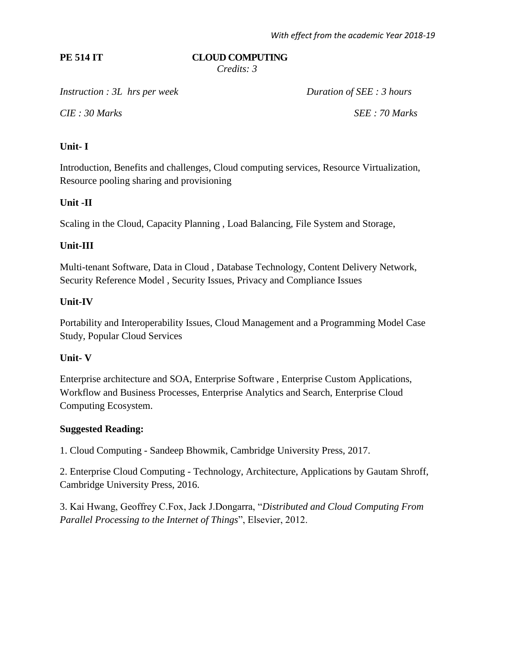# **PE 514 IT CLOUD COMPUTING**

 *Credits: 3*

*Instruction : 3L hrs per week Duration of SEE : 3 hours* 

*CIE : 30 Marks SEE : 70 Marks*

# **Unit- I**

Introduction, Benefits and challenges, Cloud computing services, Resource Virtualization, Resource pooling sharing and provisioning

# **Unit -II**

Scaling in the Cloud, Capacity Planning , Load Balancing, File System and Storage,

# **Unit-III**

Multi-tenant Software, Data in Cloud , Database Technology, Content Delivery Network, Security Reference Model , Security Issues, Privacy and Compliance Issues

# **Unit-IV**

Portability and Interoperability Issues, Cloud Management and a Programming Model Case Study, Popular Cloud Services

# **Unit- V**

Enterprise architecture and SOA, Enterprise Software , Enterprise Custom Applications, Workflow and Business Processes, Enterprise Analytics and Search, Enterprise Cloud Computing Ecosystem.

# **Suggested Reading:**

1. Cloud Computing - Sandeep Bhowmik, Cambridge University Press, 2017.

2. Enterprise Cloud Computing - Technology, Architecture, Applications by Gautam Shroff, Cambridge University Press, 2016.

3. Kai Hwang, Geoffrey C.Fox, Jack J.Dongarra, "*Distributed and Cloud Computing From Parallel Processing to the Internet of Things*", Elsevier, 2012.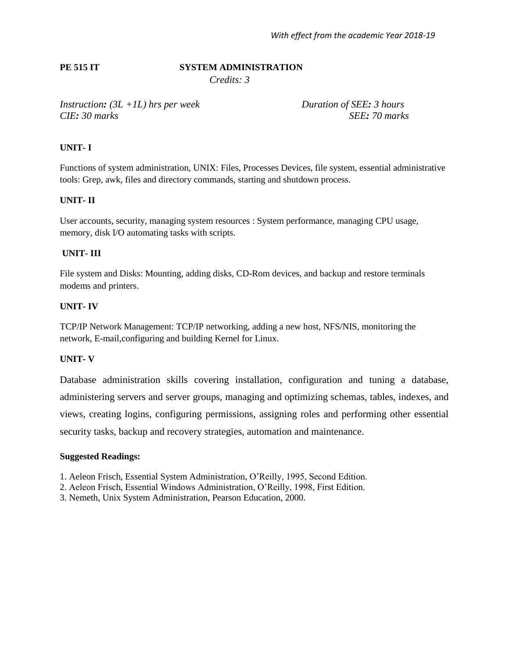#### **PE 515 IT SYSTEM ADMINISTRATION**

*Credits: 3*

*Instruction: (3L +1L) hrs per week Duration of SEE: 3 hours CIE: 30 marks SEE: 70 marks*

#### **UNIT- I**

Functions of system administration, UNIX: Files, Processes Devices, file system, essential administrative tools: Grep, awk, files and directory commands, starting and shutdown process.

#### **UNIT- II**

User accounts, security, managing system resources : System performance, managing CPU usage, memory, disk I/O automating tasks with scripts.

#### **UNIT- III**

File system and Disks: Mounting, adding disks, CD-Rom devices, and backup and restore terminals modems and printers.

## **UNIT- IV**

TCP/IP Network Management: TCP/IP networking, adding a new host, NFS/NIS, monitoring the network, E-mail,configuring and building Kernel for Linux.

#### **UNIT- V**

Database administration skills covering installation, configuration and tuning a database, administering servers and server groups, managing and optimizing schemas, tables, indexes, and views, creating logins, configuring permissions, assigning roles and performing other essential security tasks, backup and recovery strategies, automation and maintenance.

#### **Suggested Readings:**

1. Aeleon Frisch, Essential System Administration, O"Reilly, 1995, Second Edition.

- 2. Aeleon Frisch, Essential Windows Administration, O"Reilly, 1998, First Edition.
- 3. Nemeth, Unix System Administration, Pearson Education, 2000.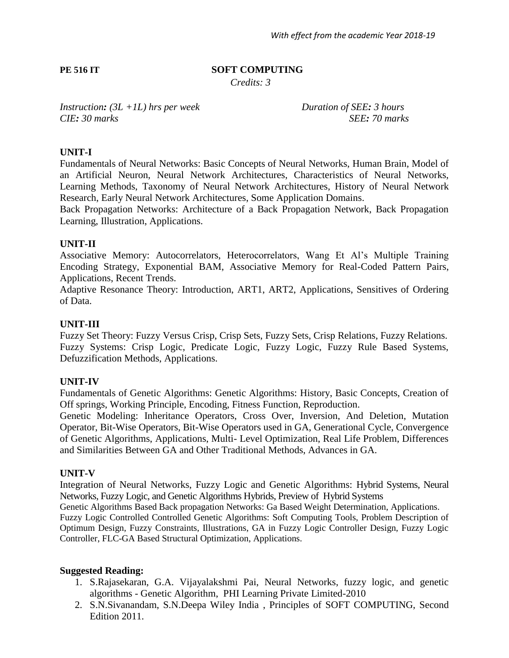# **PE 516 IT** SOFT COMPUTING

*Credits: 3*

*Instruction: (3L +1L) hrs per week Duration of SEE: 3 hours CIE: 30 marks SEE: 70 marks*

## **UNIT-I**

Fundamentals of Neural Networks: Basic Concepts of Neural Networks, Human Brain, Model of an Artificial Neuron, Neural Network Architectures, Characteristics of Neural Networks, Learning Methods, Taxonomy of Neural Network Architectures, History of Neural Network Research, Early Neural Network Architectures, Some Application Domains.

Back Propagation Networks: Architecture of a Back Propagation Network, Back Propagation Learning, Illustration, Applications.

## **UNIT-II**

Associative Memory: Autocorrelators, Heterocorrelators, Wang Et Al"s Multiple Training Encoding Strategy, Exponential BAM, Associative Memory for Real-Coded Pattern Pairs, Applications, Recent Trends.

Adaptive Resonance Theory: Introduction, ART1, ART2, Applications, Sensitives of Ordering of Data.

### **UNIT-III**

Fuzzy Set Theory: Fuzzy Versus Crisp, Crisp Sets, Fuzzy Sets, Crisp Relations, Fuzzy Relations. Fuzzy Systems: Crisp Logic, Predicate Logic, Fuzzy Logic, Fuzzy Rule Based Systems, Defuzzification Methods, Applications.

## **UNIT-IV**

Fundamentals of Genetic Algorithms: Genetic Algorithms: History, Basic Concepts, Creation of Off springs, Working Principle, Encoding, Fitness Function, Reproduction.

Genetic Modeling: Inheritance Operators, Cross Over, Inversion, And Deletion, Mutation Operator, Bit-Wise Operators, Bit-Wise Operators used in GA, Generational Cycle, Convergence of Genetic Algorithms, Applications, Multi- Level Optimization, Real Life Problem, Differences and Similarities Between GA and Other Traditional Methods, Advances in GA.

#### **UNIT-V**

Integration of Neural Networks, Fuzzy Logic and Genetic Algorithms: Hybrid Systems, Neural Networks, Fuzzy Logic, and Genetic Algorithms Hybrids, Preview of Hybrid Systems

Genetic Algorithms Based Back propagation Networks: Ga Based Weight Determination, Applications. Fuzzy Logic Controlled Controlled Genetic Algorithms: Soft Computing Tools, Problem Description of Optimum Design, Fuzzy Constraints, Illustrations, GA in Fuzzy Logic Controller Design, Fuzzy Logic Controller, FLC-GA Based Structural Optimization, Applications.

- 1. S.Rajasekaran, G.A. Vijayalakshmi Pai, Neural Networks, fuzzy logic, and genetic algorithms - Genetic Algorithm, PHI Learning Private Limited-2010
- 2. S.N.Sivanandam, S.N.Deepa Wiley India , Principles of SOFT COMPUTING, Second Edition 2011.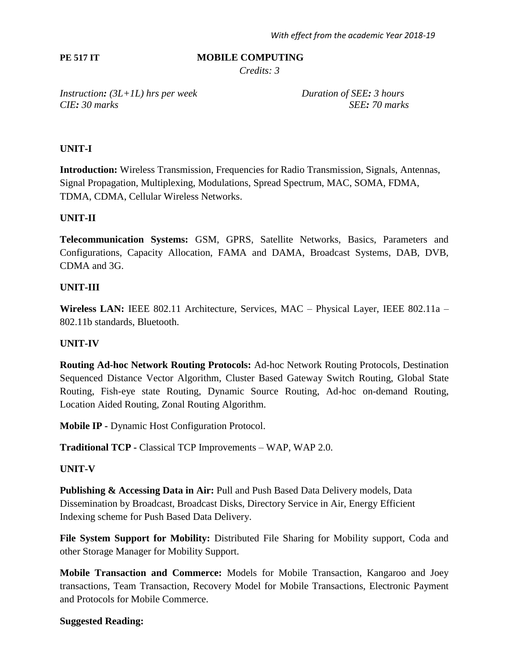# **PE 517 IT MOBILE COMPUTING**

*Credits: 3*

*Instruction: (3L+1L) hrs per week Duration of SEE: 3 hours CIE: 30 marks SEE: 70 marks*

# **UNIT-I**

**Introduction:** Wireless Transmission, Frequencies for Radio Transmission, Signals, Antennas, Signal Propagation, Multiplexing, Modulations, Spread Spectrum, MAC, SOMA, FDMA, TDMA, CDMA, Cellular Wireless Networks.

## **UNIT-II**

**Telecommunication Systems:** GSM, GPRS, Satellite Networks, Basics, Parameters and Configurations, Capacity Allocation, FAMA and DAMA, Broadcast Systems, DAB, DVB, CDMA and 3G.

# **UNIT-III**

**Wireless LAN:** IEEE 802.11 Architecture, Services, MAC – Physical Layer, IEEE 802.11a – 802.11b standards, Bluetooth.

## **UNIT-IV**

**Routing Ad-hoc Network Routing Protocols:** Ad-hoc Network Routing Protocols, Destination Sequenced Distance Vector Algorithm, Cluster Based Gateway Switch Routing, Global State Routing, Fish-eye state Routing, Dynamic Source Routing, Ad-hoc on-demand Routing, Location Aided Routing, Zonal Routing Algorithm.

**Mobile IP -** Dynamic Host Configuration Protocol.

**Traditional TCP -** Classical TCP Improvements – WAP, WAP 2.0.

## **UNIT-V**

**Publishing & Accessing Data in Air:** Pull and Push Based Data Delivery models, Data Dissemination by Broadcast, Broadcast Disks, Directory Service in Air, Energy Efficient Indexing scheme for Push Based Data Delivery.

**File System Support for Mobility:** Distributed File Sharing for Mobility support, Coda and other Storage Manager for Mobility Support.

**Mobile Transaction and Commerce:** Models for Mobile Transaction, Kangaroo and Joey transactions, Team Transaction, Recovery Model for Mobile Transactions, Electronic Payment and Protocols for Mobile Commerce.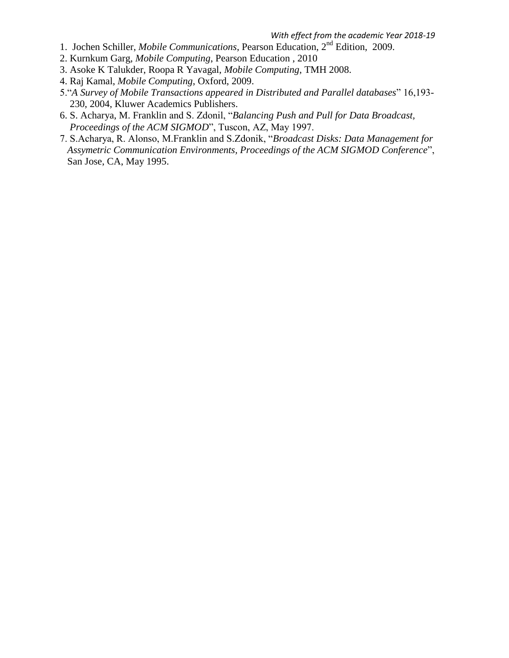- 1. Jochen Schiller, *Mobile Communications*, Pearson Education, 2nd Edition, 2009.
- 2. Kurnkum Garg, *Mobile Computing*, Pearson Education , 2010
- 3. Asoke K Talukder, Roopa R Yavagal, *Mobile Computing*, TMH 2008.
- 4. Raj Kamal, *Mobile Computing*, Oxford, 2009.
- 5."*A Survey of Mobile Transactions appeared in Distributed and Parallel databases*" 16,193- 230, 2004, Kluwer Academics Publishers.
- 6. S. Acharya, M. Franklin and S. Zdonil, "*Balancing Push and Pull for Data Broadcast, Proceedings of the ACM SIGMOD*", Tuscon, AZ, May 1997.
- 7. S.Acharya, R. Alonso, M.Franklin and S.Zdonik, "*Broadcast Disks: Data Management for Assymetric Communication Environments, Proceedings of the ACM SIGMOD Conference*", San Jose, CA, May 1995.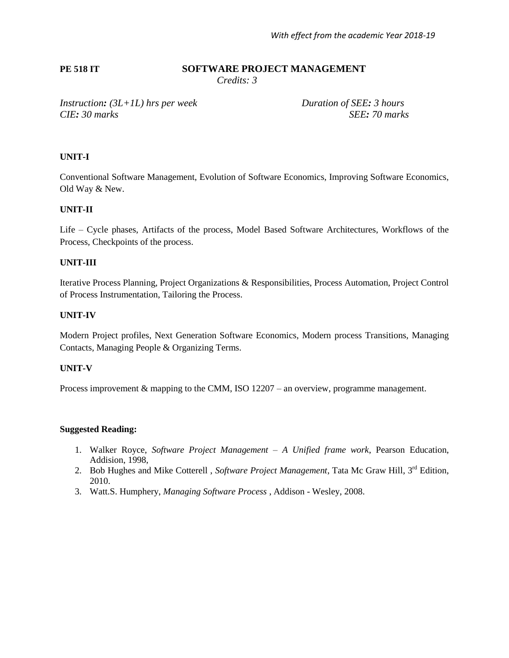# **PE 518 IT SOFTWARE PROJECT MANAGEMENT**

 *Credits: 3*

*Instruction: (3L+1L) hrs per week Duration of SEE: 3 hours CIE: 30 marks SEE: 70 marks*

#### **UNIT-I**

Conventional Software Management, Evolution of Software Economics, Improving Software Economics, Old Way & New.

#### **UNIT-II**

Life – Cycle phases, Artifacts of the process, Model Based Software Architectures, Workflows of the Process, Checkpoints of the process.

#### **UNIT-III**

Iterative Process Planning, Project Organizations & Responsibilities, Process Automation, Project Control of Process Instrumentation, Tailoring the Process.

#### **UNIT-IV**

Modern Project profiles, Next Generation Software Economics, Modern process Transitions, Managing Contacts, Managing People & Organizing Terms.

#### **UNIT-V**

Process improvement & mapping to the CMM, ISO 12207 – an overview, programme management.

- 1. Walker Royce, *Software Project Management – A Unified frame work*, Pearson Education, Addision, 1998,
- 2. Bob Hughes and Mike Cotterell, Software Project Management, Tata Mc Graw Hill, 3<sup>rd</sup> Edition, 2010.
- 3. Watt.S. Humphery, *Managing Software Process* , Addison Wesley, 2008.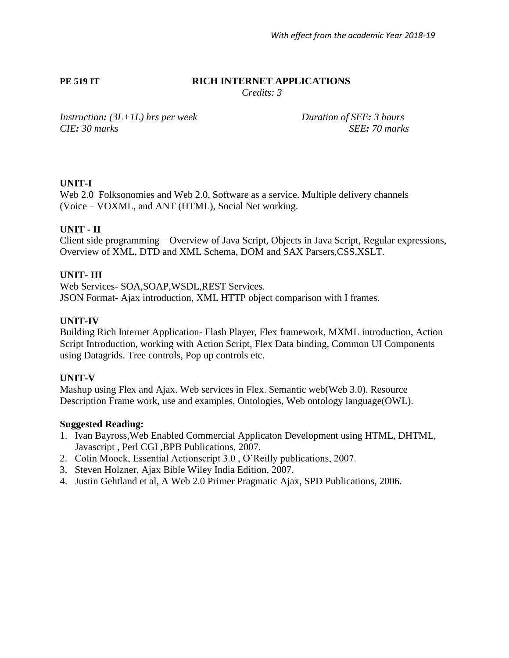## **PE 519 IT RICH INTERNET APPLICATIONS**

*Credits: 3*

*Instruction: (3L+1L) hrs per week Duration of SEE: 3 hours CIE: 30 marks SEE: 70 marks*

# **UNIT-I**

Web 2.0 Folksonomies and Web 2.0, Software as a service. Multiple delivery channels (Voice – VOXML, and ANT (HTML), Social Net working.

# **UNIT - II**

Client side programming – Overview of Java Script, Objects in Java Script, Regular expressions, Overview of XML, DTD and XML Schema, DOM and SAX Parsers,CSS,XSLT.

# **UNIT- III**

Web Services- SOA,SOAP,WSDL,REST Services. JSON Format- Ajax introduction, XML HTTP object comparison with I frames.

# **UNIT-IV**

Building Rich Internet Application- Flash Player, Flex framework, MXML introduction, Action Script Introduction, working with Action Script, Flex Data binding, Common UI Components using Datagrids. Tree controls, Pop up controls etc.

## **UNIT-V**

Mashup using Flex and Ajax. Web services in Flex. Semantic web(Web 3.0). Resource Description Frame work, use and examples, Ontologies, Web ontology language(OWL).

- 1. Ivan Bayross,Web Enabled Commercial Applicaton Development using HTML, DHTML, Javascript , Perl CGI ,BPB Publications, 2007.
- 2. Colin Moock, Essential Actionscript 3.0 , O"Reilly publications, 2007.
- 3. Steven Holzner, Ajax Bible Wiley India Edition, 2007.
- 4. Justin Gehtland et al, A Web 2.0 Primer Pragmatic Ajax, SPD Publications, 2006.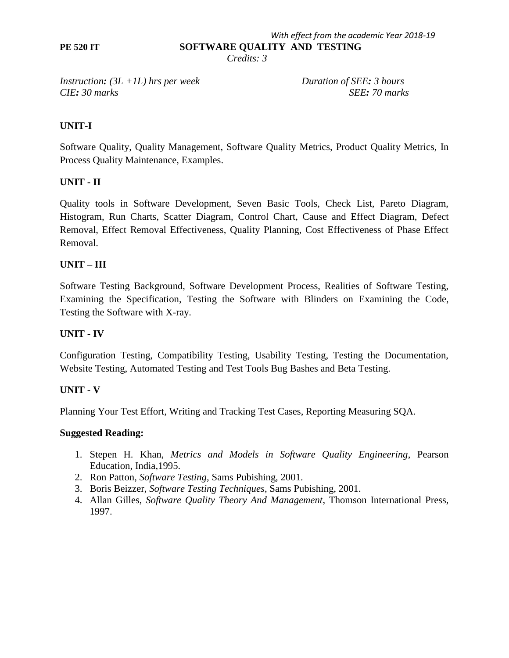*With effect from the academic Year 2018-19* **PE 520 IT SOFTWARE QUALITY AND TESTING**

 *Credits: 3*

*Instruction: (3L +1L) hrs per week Duration of SEE: 3 hours CIE: 30 marks SEE: 70 marks*

# **UNIT-I**

Software Quality, Quality Management, Software Quality Metrics, Product Quality Metrics, In Process Quality Maintenance, Examples.

## **UNIT - II**

Quality tools in Software Development, Seven Basic Tools, Check List, Pareto Diagram, Histogram, Run Charts, Scatter Diagram, Control Chart, Cause and Effect Diagram, Defect Removal, Effect Removal Effectiveness, Quality Planning, Cost Effectiveness of Phase Effect Removal.

## **UNIT – III**

Software Testing Background, Software Development Process, Realities of Software Testing, Examining the Specification, Testing the Software with Blinders on Examining the Code, Testing the Software with X-ray.

### **UNIT - IV**

Configuration Testing, Compatibility Testing, Usability Testing, Testing the Documentation, Website Testing, Automated Testing and Test Tools Bug Bashes and Beta Testing.

## **UNIT - V**

Planning Your Test Effort, Writing and Tracking Test Cases, Reporting Measuring SQA.

- 1. Stepen H. Khan, *Metrics and Models in Software Quality Engineering*, Pearson Education, India,1995.
- 2. Ron Patton, *Software Testing*, Sams Pubishing, 2001.
- 3. Boris Beizzer, *Software Testing Techniques*, Sams Pubishing, 2001.
- 4. Allan Gilles, *Software Quality Theory And Management*, Thomson International Press, 1997.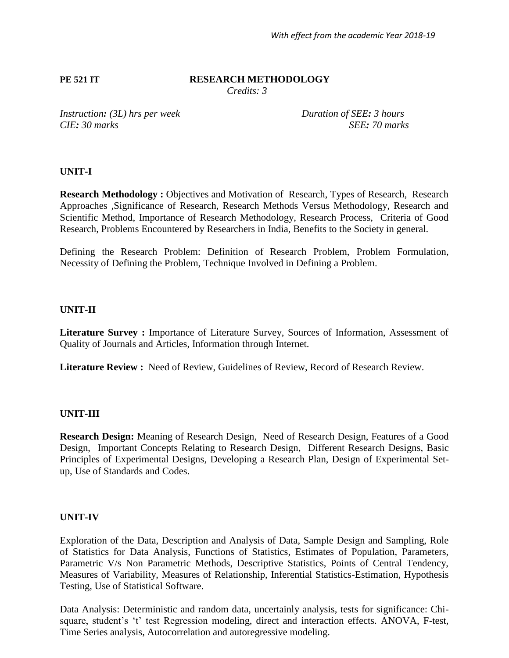# **PE 521 IT RESEARCH METHODOLOGY**

 *Credits: 3*

*Instruction:* (3L) hrs per week Duration of SEE: 3 hours *CIE: 30 marks SEE: 70 marks*

# **UNIT-I**

**Research Methodology :** Objectives and Motivation of Research, Types of Research, Research Approaches *,*Significance of Research, Research Methods Versus Methodology, Research and Scientific Method, Importance of Research Methodology, Research Process, Criteria of Good Research, Problems Encountered by Researchers in India, Benefits to the Society in general.

Defining the Research Problem: Definition of Research Problem, Problem Formulation, Necessity of Defining the Problem, Technique Involved in Defining a Problem.

# **UNIT-II**

Literature Survey : Importance of Literature Survey, Sources of Information, Assessment of Quality of Journals and Articles, Information through Internet.

**Literature Review :** Need of Review, Guidelines of Review, Record of Research Review.

# **UNIT-III**

**Research Design:** Meaning of Research Design, Need of Research Design, Features of a Good Design, Important Concepts Relating to Research Design, Different Research Designs, Basic Principles of Experimental Designs*,* Developing a Research Plan, Design of Experimental Setup, Use of Standards and Codes.

# **UNIT-IV**

Exploration of the Data, Description and Analysis of Data, Sample Design and Sampling, Role of Statistics for Data Analysis, Functions of Statistics, Estimates of Population, Parameters, Parametric V/s Non Parametric Methods, Descriptive Statistics, Points of Central Tendency, Measures of Variability, Measures of Relationship, Inferential Statistics-Estimation, Hypothesis Testing, Use of Statistical Software.

Data Analysis: Deterministic and random data, uncertainly analysis, tests for significance: Chisquare, student's 't' test Regression modeling, direct and interaction effects. ANOVA, F-test, Time Series analysis, Autocorrelation and autoregressive modeling.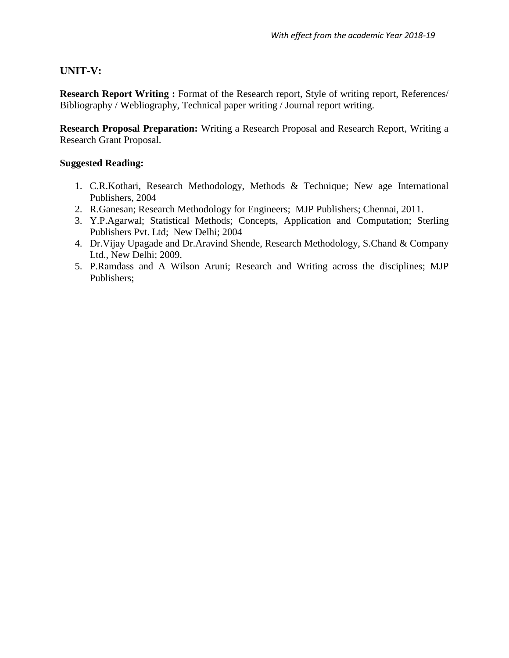# **UNIT-V:**

**Research Report Writing :** Format of the Research report, Style of writing report, References/ Bibliography / Webliography, Technical paper writing / Journal report writing.

**Research Proposal Preparation:** Writing a Research Proposal and Research Report, Writing a Research Grant Proposal.

- 1. C.R.Kothari, Research Methodology, Methods & Technique; New age International Publishers, 2004
- 2. R.Ganesan; Research Methodology for Engineers; MJP Publishers; Chennai, 2011.
- 3. Y.P.Agarwal; Statistical Methods; Concepts, Application and Computation; Sterling Publishers Pvt. Ltd; New Delhi; 2004
- 4. Dr.Vijay Upagade and Dr.Aravind Shende, Research Methodology, S.Chand & Company Ltd., New Delhi; 2009.
- 5. P.Ramdass and A Wilson Aruni; Research and Writing across the disciplines; MJP Publishers;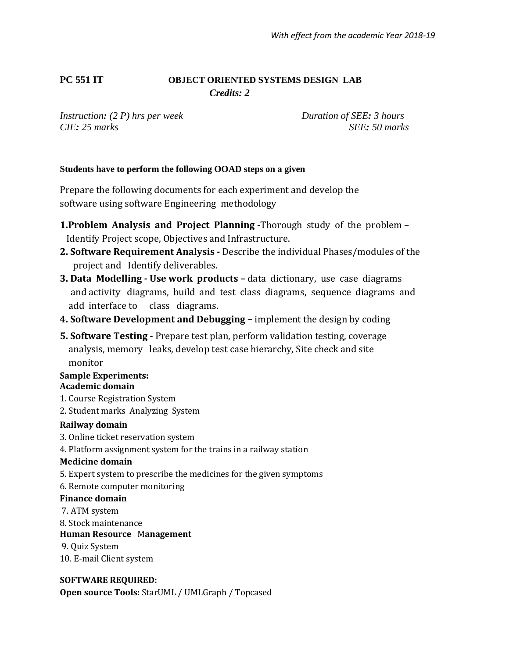# **PC 551 IT OBJECT ORIENTED SYSTEMS DESIGN LAB**  *Credits: 2*

*Instruction: (2 P) hrs per week Duration of SEE: 3 hours CIE: 25 marks SEE: 50 marks*

# **Students have to perform the following OOAD steps on a given**

Prepare the following documents for each experiment and develop the software using software Engineering methodology

- **1.Problem Analysis and Project Planning -**Thorough study of the problem Identify Project scope, Objectives and Infrastructure.
- **2. Software Requirement Analysis -** Describe the individual Phases/modules of the project and Identify deliverables.
- **3. Data Modelling - Use work products –** data dictionary, use case diagrams and activity diagrams, build and test class diagrams, sequence diagrams and add interface to class diagrams.
- **4. Software Development and Debugging –** implement the design by coding
- **5. Software Testing -** Prepare test plan, perform validation testing, coverage analysis, memory leaks, develop test case hierarchy, Site check and site monitor

#### **Sample Experiments: Academic domain**

- 1. Course Registration System
- 2. Student marks Analyzing System

## **Railway domain**

- 3. Online ticket reservation system
- 4. Platform assignment system for the trains in a railway station

#### **Medicine domain**

- 5. Expert system to prescribe the medicines for the given symptoms
- 6. Remote computer monitoring

#### **Finance domain**

- 7. ATM system
- 8. Stock maintenance

# **Human Resource** M**anagement**

9. Quiz System

10. E-mail Client system

## **SOFTWARE REQUIRED:**

**Open source Tools:** StarUML / UMLGraph / Topcased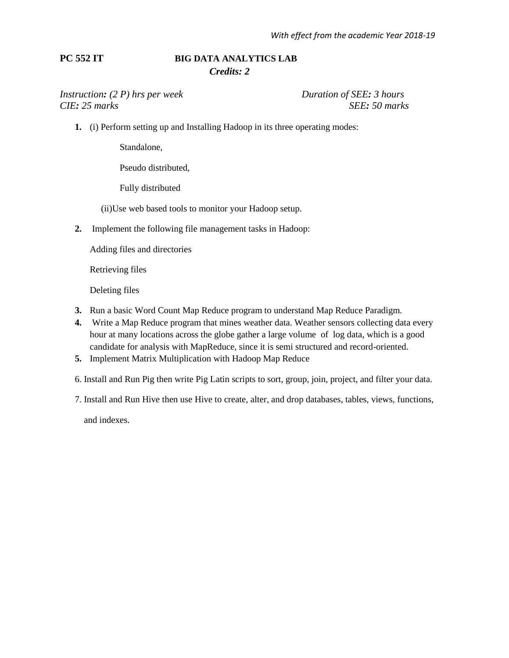## **PC 552 IT BIG DATA ANALYTICS LAB** *Credits: 2*

#### *Instruction:* (2 P) hrs per week Duration of SEE: 3 hours *CIE: 25 marks SEE: 50 marks*

**1.** (i) Perform setting up and Installing Hadoop in its three operating modes:

Standalone,

Pseudo distributed,

Fully distributed

(ii)Use web based tools to monitor your Hadoop setup.

**2.** Implement the following file management tasks in Hadoop:

Adding files and directories

Retrieving files

Deleting files

- **3.** Run a basic Word Count Map Reduce program to understand Map Reduce Paradigm.
- **4.** Write a Map Reduce program that mines weather data. Weather sensors collecting data every hour at many locations across the globe gather a large volume of log data, which is a good candidate for analysis with MapReduce, since it is semi structured and record-oriented.
- **5.** Implement Matrix Multiplication with Hadoop Map Reduce
- 6. Install and Run Pig then write Pig Latin scripts to sort, group, join, project, and filter your data.
- 7. Install and Run Hive then use Hive to create, alter, and drop databases, tables, views, functions,

and indexes.